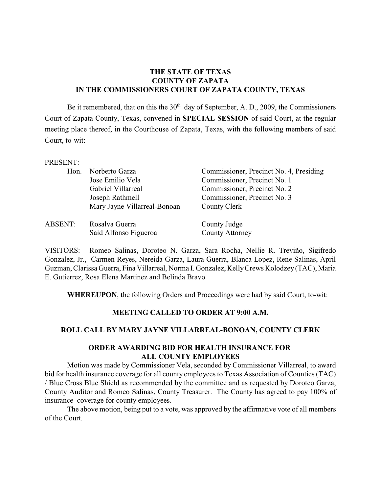## **THE STATE OF TEXAS COUNTY OF ZAPATA IN THE COMMISSIONERS COURT OF ZAPATA COUNTY, TEXAS**

Be it remembered, that on this the  $30<sup>th</sup>$  day of September, A. D., 2009, the Commissioners Court of Zapata County, Texas, convened in **SPECIAL SESSION** of said Court, at the regular meeting place thereof, in the Courthouse of Zapata, Texas, with the following members of said Court, to-wit:

#### PRESENT:

| Hon.    | Norberto Garza               | Commissioner, Precinct No. 4, Presiding |
|---------|------------------------------|-----------------------------------------|
|         | Jose Emilio Vela             | Commissioner, Precinct No. 1            |
|         | Gabriel Villarreal           | Commissioner, Precinct No. 2            |
|         | Joseph Rathmell              | Commissioner, Precinct No. 3            |
|         | Mary Jayne Villarreal-Bonoan | County Clerk                            |
| ABSENT: | Rosalva Guerra               | County Judge                            |
|         | Saíd Alfonso Figueroa        | <b>County Attorney</b>                  |

VISITORS: Romeo Salinas, Doroteo N. Garza, Sara Rocha, Nellie R. Treviño, Sigifredo Gonzalez, Jr., Carmen Reyes, Nereida Garza, Laura Guerra, Blanca Lopez, Rene Salinas, April Guzman, Clarissa Guerra, Fina Villarreal, Norma I. Gonzalez, Kelly Crews Kolodzey (TAC), Maria E. Gutierrez, Rosa Elena Martinez and Belinda Bravo.

**WHEREUPON**, the following Orders and Proceedings were had by said Court, to-wit:

#### **MEETING CALLED TO ORDER AT 9:00 A.M.**

## **ROLL CALL BY MARY JAYNE VILLARREAL-BONOAN, COUNTY CLERK**

### **ORDER AWARDING BID FOR HEALTH INSURANCE FOR ALL COUNTY EMPLOYEES**

Motion was made by Commissioner Vela, seconded by Commissioner Villarreal, to award bid for health insurance coverage for all county employees to Texas Association of Counties (TAC) / Blue Cross Blue Shield as recommended by the committee and as requested by Doroteo Garza, County Auditor and Romeo Salinas, County Treasurer. The County has agreed to pay 100% of insurance coverage for county employees.

The above motion, being put to a vote, was approved by the affirmative vote of all members of the Court.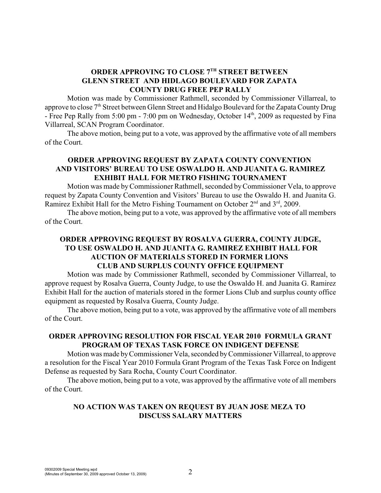# **ORDER APPROVING TO CLOSE 7TH STREET BETWEEN GLENN STREET AND HIDLAGO BOULEVARD FOR ZAPATA COUNTY DRUG FREE PEP RALLY**

Motion was made by Commissioner Rathmell, seconded by Commissioner Villarreal, to approve to close 7<sup>th</sup> Street between Glenn Street and Hidalgo Boulevard for the Zapata County Drug - Free Pep Rally from 5:00 pm - 7:00 pm on Wednesday, October  $14<sup>th</sup>$ , 2009 as requested by Fina Villarreal, SCAN Program Coordinator.

The above motion, being put to a vote, was approved by the affirmative vote of all members of the Court.

## **ORDER APPROVING REQUEST BY ZAPATA COUNTY CONVENTION AND VISITORS' BUREAU TO USE OSWALDO H. AND JUANITA G. RAMIREZ EXHIBIT HALL FOR METRO FISHING TOURNAMENT**

Motion was made by Commissioner Rathmell, seconded by Commissioner Vela, to approve request by Zapata County Convention and Visitors' Bureau to use the Oswaldo H. and Juanita G. Ramirez Exhibit Hall for the Metro Fishing Tournament on October  $2<sup>nd</sup>$  and  $3<sup>rd</sup>$ , 2009.

The above motion, being put to a vote, was approved by the affirmative vote of all members of the Court.

## **ORDER APPROVING REQUEST BY ROSALVA GUERRA, COUNTY JUDGE, TO USE OSWALDO H. AND JUANITA G. RAMIREZ EXHIBIT HALL FOR AUCTION OF MATERIALS STORED IN FORMER LIONS CLUB AND SURPLUS COUNTY OFFICE EQUIPMENT**

Motion was made by Commissioner Rathmell, seconded by Commissioner Villarreal, to approve request by Rosalva Guerra, County Judge, to use the Oswaldo H. and Juanita G. Ramirez Exhibit Hall for the auction of materials stored in the former Lions Club and surplus county office equipment as requested by Rosalva Guerra, County Judge.

The above motion, being put to a vote, was approved by the affirmative vote of all members of the Court.

## **ORDER APPROVING RESOLUTION FOR FISCAL YEAR 2010 FORMULA GRANT PROGRAM OF TEXAS TASK FORCE ON INDIGENT DEFENSE**

Motion was made byCommissioner Vela, seconded by Commissioner Villarreal, to approve a resolution for the Fiscal Year 2010 Formula Grant Program of the Texas Task Force on Indigent Defense as requested by Sara Rocha, County Court Coordinator.

The above motion, being put to a vote, was approved by the affirmative vote of all members of the Court.

## **NO ACTION WAS TAKEN ON REQUEST BY JUAN JOSE MEZA TO DISCUSS SALARY MATTERS**